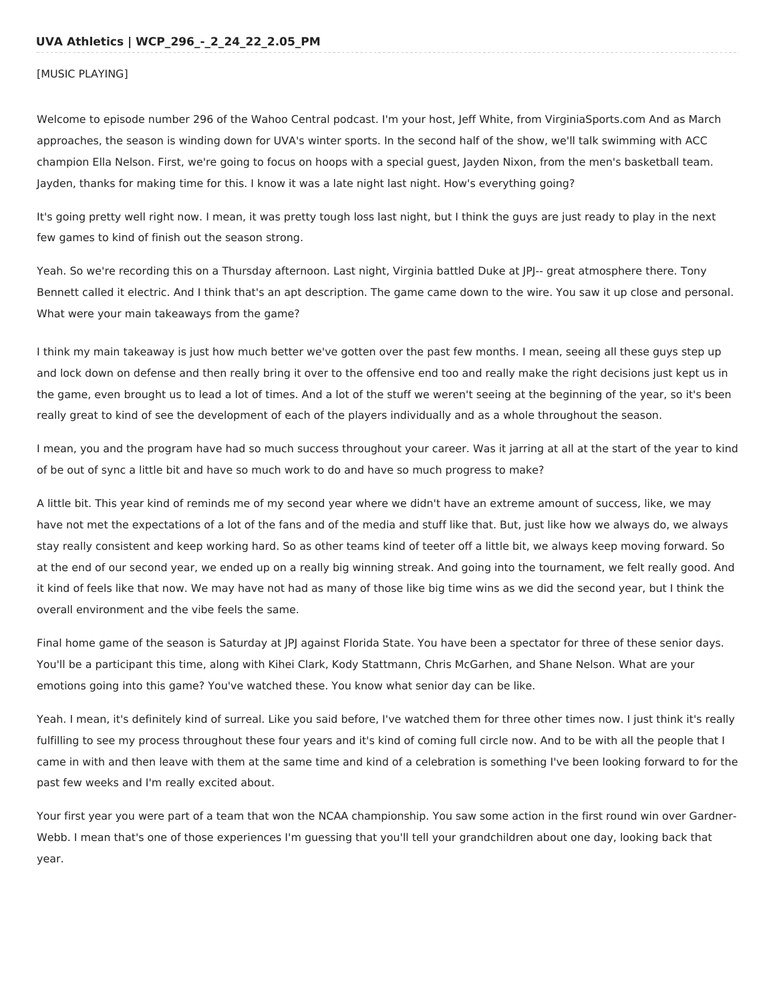# [MUSIC PLAYING]

Welcome to episode number 296 of the Wahoo Central podcast. I'm your host, Jeff White, from VirginiaSports.com And as March approaches, the season is winding down for UVA's winter sports. In the second half of the show, we'll talk swimming with ACC champion Ella Nelson. First, we're going to focus on hoops with a special guest, Jayden Nixon, from the men's basketball team. Jayden, thanks for making time for this. I know it was a late night last night. How's everything going?

It's going pretty well right now. I mean, it was pretty tough loss last night, but I think the guys are just ready to play in the next few games to kind of finish out the season strong.

Yeah. So we're recording this on a Thursday afternoon. Last night, Virginia battled Duke at JPJ-- great atmosphere there. Tony Bennett called it electric. And I think that's an apt description. The game came down to the wire. You saw it up close and personal. What were your main takeaways from the game?

I think my main takeaway is just how much better we've gotten over the past few months. I mean, seeing all these guys step up and lock down on defense and then really bring it over to the offensive end too and really make the right decisions just kept us in the game, even brought us to lead a lot of times. And a lot of the stuff we weren't seeing at the beginning of the year, so it's been really great to kind of see the development of each of the players individually and as a whole throughout the season.

I mean, you and the program have had so much success throughout your career. Was it jarring at all at the start of the year to kind of be out of sync a little bit and have so much work to do and have so much progress to make?

A little bit. This year kind of reminds me of my second year where we didn't have an extreme amount of success, like, we may have not met the expectations of a lot of the fans and of the media and stuff like that. But, just like how we always do, we always stay really consistent and keep working hard. So as other teams kind of teeter off a little bit, we always keep moving forward. So at the end of our second year, we ended up on a really big winning streak. And going into the tournament, we felt really good. And it kind of feels like that now. We may have not had as many of those like big time wins as we did the second year, but I think the overall environment and the vibe feels the same.

Final home game of the season is Saturday at JPJ against Florida State. You have been a spectator for three of these senior days. You'll be a participant this time, along with Kihei Clark, Kody Stattmann, Chris McGarhen, and Shane Nelson. What are your emotions going into this game? You've watched these. You know what senior day can be like.

Yeah. I mean, it's definitely kind of surreal. Like you said before, I've watched them for three other times now. I just think it's really fulfilling to see my process throughout these four years and it's kind of coming full circle now. And to be with all the people that I came in with and then leave with them at the same time and kind of a celebration is something I've been looking forward to for the past few weeks and I'm really excited about.

Your first year you were part of a team that won the NCAA championship. You saw some action in the first round win over Gardner-Webb. I mean that's one of those experiences I'm guessing that you'll tell your grandchildren about one day, looking back that year.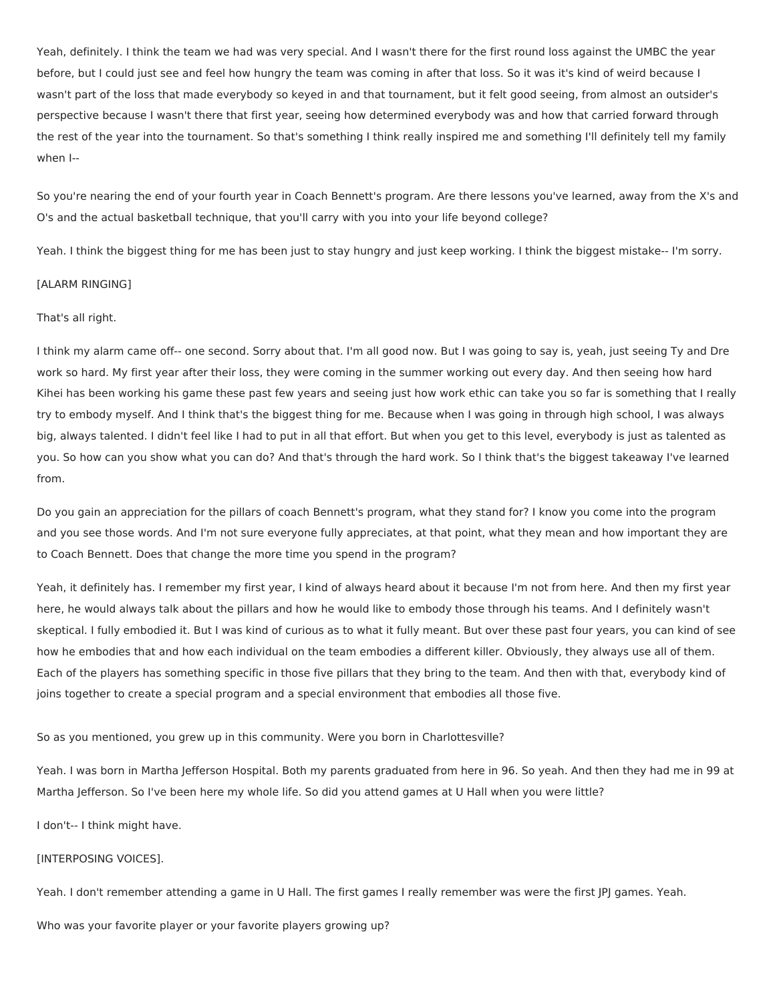Yeah, definitely. I think the team we had was very special. And I wasn't there for the first round loss against the UMBC the year before, but I could just see and feel how hungry the team was coming in after that loss. So it was it's kind of weird because I wasn't part of the loss that made everybody so keyed in and that tournament, but it felt good seeing, from almost an outsider's perspective because I wasn't there that first year, seeing how determined everybody was and how that carried forward through the rest of the year into the tournament. So that's something I think really inspired me and something I'll definitely tell my family when I--

So you're nearing the end of your fourth year in Coach Bennett's program. Are there lessons you've learned, away from the X's and O's and the actual basketball technique, that you'll carry with you into your life beyond college?

Yeah. I think the biggest thing for me has been just to stay hungry and just keep working. I think the biggest mistake-- I'm sorry.

# [ALARM RINGING]

# That's all right.

I think my alarm came off-- one second. Sorry about that. I'm all good now. But I was going to say is, yeah, just seeing Ty and Dre work so hard. My first year after their loss, they were coming in the summer working out every day. And then seeing how hard Kihei has been working his game these past few years and seeing just how work ethic can take you so far is something that I really try to embody myself. And I think that's the biggest thing for me. Because when I was going in through high school, I was always big, always talented. I didn't feel like I had to put in all that effort. But when you get to this level, everybody is just as talented as you. So how can you show what you can do? And that's through the hard work. So I think that's the biggest takeaway I've learned from.

Do you gain an appreciation for the pillars of coach Bennett's program, what they stand for? I know you come into the program and you see those words. And I'm not sure everyone fully appreciates, at that point, what they mean and how important they are to Coach Bennett. Does that change the more time you spend in the program?

Yeah, it definitely has. I remember my first year, I kind of always heard about it because I'm not from here. And then my first year here, he would always talk about the pillars and how he would like to embody those through his teams. And I definitely wasn't skeptical. I fully embodied it. But I was kind of curious as to what it fully meant. But over these past four years, you can kind of see how he embodies that and how each individual on the team embodies a different killer. Obviously, they always use all of them. Each of the players has something specific in those five pillars that they bring to the team. And then with that, everybody kind of joins together to create a special program and a special environment that embodies all those five.

# So as you mentioned, you grew up in this community. Were you born in Charlottesville?

Yeah. I was born in Martha Jefferson Hospital. Both my parents graduated from here in 96. So yeah. And then they had me in 99 at Martha Jefferson. So I've been here my whole life. So did you attend games at U Hall when you were little?

I don't-- I think might have.

#### [INTERPOSING VOICES].

Yeah. I don't remember attending a game in U Hall. The first games I really remember was were the first JPJ games. Yeah.

Who was your favorite player or your favorite players growing up?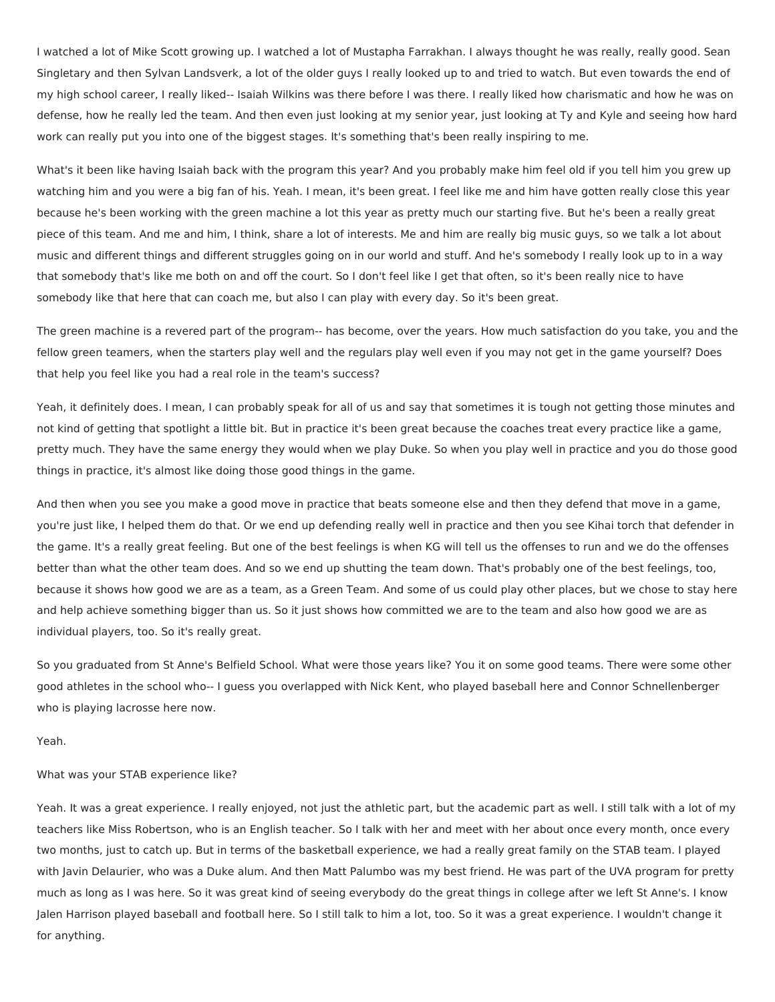I watched a lot of Mike Scott growing up. I watched a lot of Mustapha Farrakhan. I always thought he was really, really good. Sean Singletary and then Sylvan Landsverk, a lot of the older guys I really looked up to and tried to watch. But even towards the end of my high school career, I really liked-- Isaiah Wilkins was there before I was there. I really liked how charismatic and how he was on defense, how he really led the team. And then even just looking at my senior year, just looking at Ty and Kyle and seeing how hard work can really put you into one of the biggest stages. It's something that's been really inspiring to me.

What's it been like having Isaiah back with the program this year? And you probably make him feel old if you tell him you grew up watching him and you were a big fan of his. Yeah. I mean, it's been great. I feel like me and him have gotten really close this year because he's been working with the green machine a lot this year as pretty much our starting five. But he's been a really great piece of this team. And me and him, I think, share a lot of interests. Me and him are really big music guys, so we talk a lot about music and different things and different struggles going on in our world and stuff. And he's somebody I really look up to in a way that somebody that's like me both on and off the court. So I don't feel like I get that often, so it's been really nice to have somebody like that here that can coach me, but also I can play with every day. So it's been great.

The green machine is a revered part of the program-- has become, over the years. How much satisfaction do you take, you and the fellow green teamers, when the starters play well and the regulars play well even if you may not get in the game yourself? Does that help you feel like you had a real role in the team's success?

Yeah, it definitely does. I mean, I can probably speak for all of us and say that sometimes it is tough not getting those minutes and not kind of getting that spotlight a little bit. But in practice it's been great because the coaches treat every practice like a game, pretty much. They have the same energy they would when we play Duke. So when you play well in practice and you do those good things in practice, it's almost like doing those good things in the game.

And then when you see you make a good move in practice that beats someone else and then they defend that move in a game, you're just like, I helped them do that. Or we end up defending really well in practice and then you see Kihai torch that defender in the game. It's a really great feeling. But one of the best feelings is when KG will tell us the offenses to run and we do the offenses better than what the other team does. And so we end up shutting the team down. That's probably one of the best feelings, too, because it shows how good we are as a team, as a Green Team. And some of us could play other places, but we chose to stay here and help achieve something bigger than us. So it just shows how committed we are to the team and also how good we are as individual players, too. So it's really great.

So you graduated from St Anne's Belfield School. What were those years like? You it on some good teams. There were some other good athletes in the school who-- I guess you overlapped with Nick Kent, who played baseball here and Connor Schnellenberger who is playing lacrosse here now.

Yeah.

### What was your STAB experience like?

Yeah. It was a great experience. I really enjoyed, not just the athletic part, but the academic part as well. I still talk with a lot of my teachers like Miss Robertson, who is an English teacher. So I talk with her and meet with her about once every month, once every two months, just to catch up. But in terms of the basketball experience, we had a really great family on the STAB team. I played with Javin Delaurier, who was a Duke alum. And then Matt Palumbo was my best friend. He was part of the UVA program for pretty much as long as I was here. So it was great kind of seeing everybody do the great things in college after we left St Anne's. I know Jalen Harrison played baseball and football here. So I still talk to him a lot, too. So it was a great experience. I wouldn't change it for anything.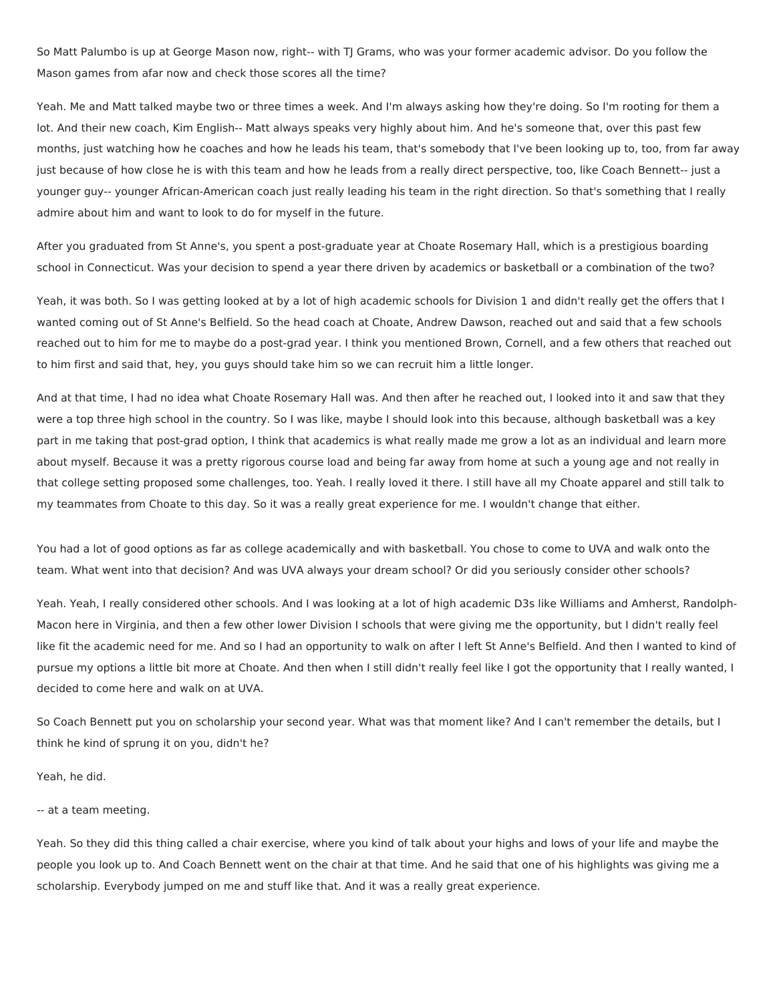So Matt Palumbo is up at George Mason now, right-- with TJ Grams, who was your former academic advisor. Do you follow the Mason games from afar now and check those scores all the time?

Yeah. Me and Matt talked maybe two or three times a week. And I'm always asking how they're doing. So I'm rooting for them a lot. And their new coach, Kim English-- Matt always speaks very highly about him. And he's someone that, over this past few months, just watching how he coaches and how he leads his team, that's somebody that I've been looking up to, too, from far away just because of how close he is with this team and how he leads from a really direct perspective, too, like Coach Bennett-- just a younger guy-- younger African-American coach just really leading his team in the right direction. So that's something that I really admire about him and want to look to do for myself in the future.

After you graduated from St Anne's, you spent a post-graduate year at Choate Rosemary Hall, which is a prestigious boarding school in Connecticut. Was your decision to spend a year there driven by academics or basketball or a combination of the two?

Yeah, it was both. So I was getting looked at by a lot of high academic schools for Division 1 and didn't really get the offers that I wanted coming out of St Anne's Belfield. So the head coach at Choate, Andrew Dawson, reached out and said that a few schools reached out to him for me to maybe do a post-grad year. I think you mentioned Brown, Cornell, and a few others that reached out to him first and said that, hey, you guys should take him so we can recruit him a little longer.

And at that time, I had no idea what Choate Rosemary Hall was. And then after he reached out, I looked into it and saw that they were a top three high school in the country. So I was like, maybe I should look into this because, although basketball was a key part in me taking that post-grad option, I think that academics is what really made me grow a lot as an individual and learn more about myself. Because it was a pretty rigorous course load and being far away from home at such a young age and not really in that college setting proposed some challenges, too. Yeah. I really loved it there. I still have all my Choate apparel and still talk to my teammates from Choate to this day. So it was a really great experience for me. I wouldn't change that either.

You had a lot of good options as far as college academically and with basketball. You chose to come to UVA and walk onto the team. What went into that decision? And was UVA always your dream school? Or did you seriously consider other schools?

Yeah. Yeah, I really considered other schools. And I was looking at a lot of high academic D3s like Williams and Amherst, Randolph-Macon here in Virginia, and then a few other lower Division I schools that were giving me the opportunity, but I didn't really feel like fit the academic need for me. And so I had an opportunity to walk on after I left St Anne's Belfield. And then I wanted to kind of pursue my options a little bit more at Choate. And then when I still didn't really feel like I got the opportunity that I really wanted, I decided to come here and walk on at UVA.

So Coach Bennett put you on scholarship your second year. What was that moment like? And I can't remember the details, but I think he kind of sprung it on you, didn't he?

Yeah, he did.

#### -- at a team meeting.

Yeah. So they did this thing called a chair exercise, where you kind of talk about your highs and lows of your life and maybe the people you look up to. And Coach Bennett went on the chair at that time. And he said that one of his highlights was giving me a scholarship. Everybody jumped on me and stuff like that. And it was a really great experience.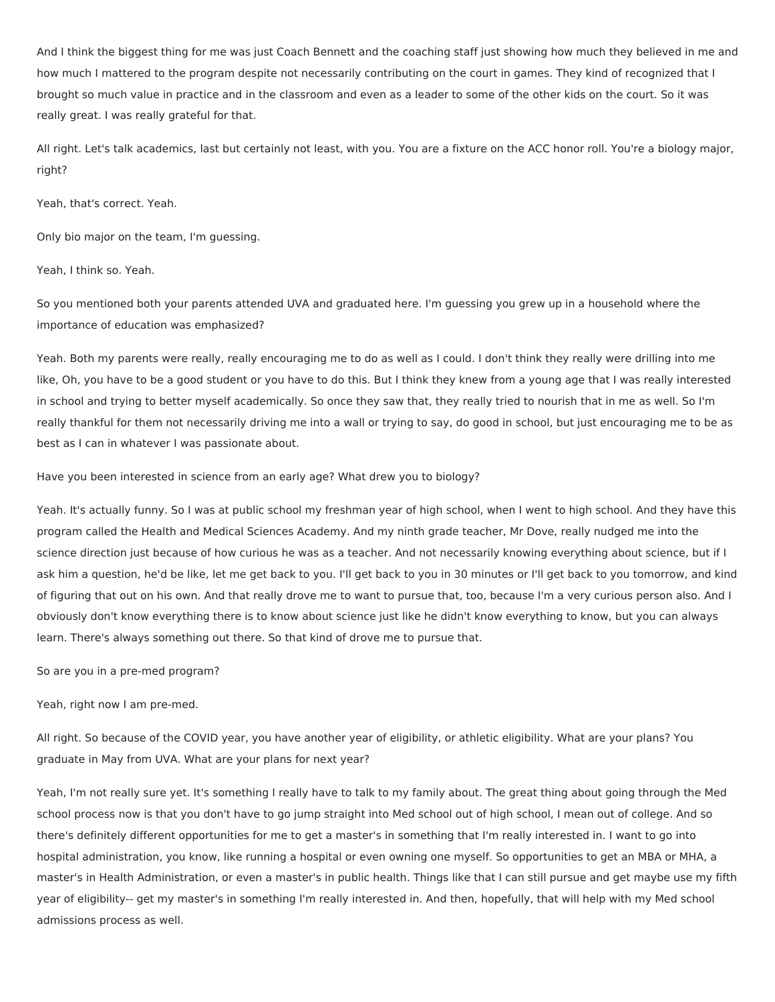And I think the biggest thing for me was just Coach Bennett and the coaching staff just showing how much they believed in me and how much I mattered to the program despite not necessarily contributing on the court in games. They kind of recognized that I brought so much value in practice and in the classroom and even as a leader to some of the other kids on the court. So it was really great. I was really grateful for that.

All right. Let's talk academics, last but certainly not least, with you. You are a fixture on the ACC honor roll. You're a biology major, right?

Yeah, that's correct. Yeah.

Only bio major on the team, I'm guessing.

Yeah, I think so. Yeah.

So you mentioned both your parents attended UVA and graduated here. I'm guessing you grew up in a household where the importance of education was emphasized?

Yeah. Both my parents were really, really encouraging me to do as well as I could. I don't think they really were drilling into me like, Oh, you have to be a good student or you have to do this. But I think they knew from a young age that I was really interested in school and trying to better myself academically. So once they saw that, they really tried to nourish that in me as well. So I'm really thankful for them not necessarily driving me into a wall or trying to say, do good in school, but just encouraging me to be as best as I can in whatever I was passionate about.

Have you been interested in science from an early age? What drew you to biology?

Yeah. It's actually funny. So I was at public school my freshman year of high school, when I went to high school. And they have this program called the Health and Medical Sciences Academy. And my ninth grade teacher, Mr Dove, really nudged me into the science direction just because of how curious he was as a teacher. And not necessarily knowing everything about science, but if I ask him a question, he'd be like, let me get back to you. I'll get back to you in 30 minutes or I'll get back to you tomorrow, and kind of figuring that out on his own. And that really drove me to want to pursue that, too, because I'm a very curious person also. And I obviously don't know everything there is to know about science just like he didn't know everything to know, but you can always learn. There's always something out there. So that kind of drove me to pursue that.

So are you in a pre-med program?

Yeah, right now I am pre-med.

All right. So because of the COVID year, you have another year of eligibility, or athletic eligibility. What are your plans? You graduate in May from UVA. What are your plans for next year?

Yeah, I'm not really sure yet. It's something I really have to talk to my family about. The great thing about going through the Med school process now is that you don't have to go jump straight into Med school out of high school, I mean out of college. And so there's definitely different opportunities for me to get a master's in something that I'm really interested in. I want to go into hospital administration, you know, like running a hospital or even owning one myself. So opportunities to get an MBA or MHA, a master's in Health Administration, or even a master's in public health. Things like that I can still pursue and get maybe use my fifth year of eligibility-- get my master's in something I'm really interested in. And then, hopefully, that will help with my Med school admissions process as well.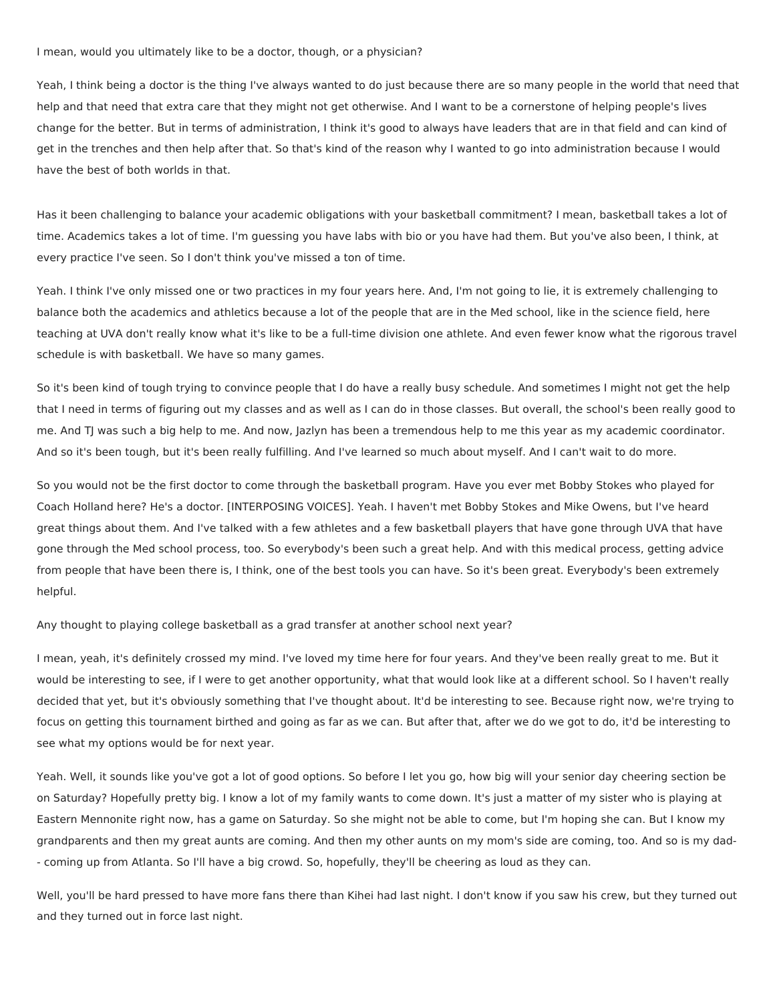#### I mean, would you ultimately like to be a doctor, though, or a physician?

Yeah, I think being a doctor is the thing I've always wanted to do just because there are so many people in the world that need that help and that need that extra care that they might not get otherwise. And I want to be a cornerstone of helping people's lives change for the better. But in terms of administration, I think it's good to always have leaders that are in that field and can kind of get in the trenches and then help after that. So that's kind of the reason why I wanted to go into administration because I would have the best of both worlds in that.

Has it been challenging to balance your academic obligations with your basketball commitment? I mean, basketball takes a lot of time. Academics takes a lot of time. I'm guessing you have labs with bio or you have had them. But you've also been, I think, at every practice I've seen. So I don't think you've missed a ton of time.

Yeah. I think I've only missed one or two practices in my four years here. And, I'm not going to lie, it is extremely challenging to balance both the academics and athletics because a lot of the people that are in the Med school, like in the science field, here teaching at UVA don't really know what it's like to be a full-time division one athlete. And even fewer know what the rigorous travel schedule is with basketball. We have so many games.

So it's been kind of tough trying to convince people that I do have a really busy schedule. And sometimes I might not get the help that I need in terms of figuring out my classes and as well as I can do in those classes. But overall, the school's been really good to me. And TJ was such a big help to me. And now, Jazlyn has been a tremendous help to me this year as my academic coordinator. And so it's been tough, but it's been really fulfilling. And I've learned so much about myself. And I can't wait to do more.

So you would not be the first doctor to come through the basketball program. Have you ever met Bobby Stokes who played for Coach Holland here? He's a doctor. [INTERPOSING VOICES]. Yeah. I haven't met Bobby Stokes and Mike Owens, but I've heard great things about them. And I've talked with a few athletes and a few basketball players that have gone through UVA that have gone through the Med school process, too. So everybody's been such a great help. And with this medical process, getting advice from people that have been there is, I think, one of the best tools you can have. So it's been great. Everybody's been extremely helpful.

Any thought to playing college basketball as a grad transfer at another school next year?

I mean, yeah, it's definitely crossed my mind. I've loved my time here for four years. And they've been really great to me. But it would be interesting to see, if I were to get another opportunity, what that would look like at a different school. So I haven't really decided that yet, but it's obviously something that I've thought about. It'd be interesting to see. Because right now, we're trying to focus on getting this tournament birthed and going as far as we can. But after that, after we do we got to do, it'd be interesting to see what my options would be for next year.

Yeah. Well, it sounds like you've got a lot of good options. So before I let you go, how big will your senior day cheering section be on Saturday? Hopefully pretty big. I know a lot of my family wants to come down. It's just a matter of my sister who is playing at Eastern Mennonite right now, has a game on Saturday. So she might not be able to come, but I'm hoping she can. But I know my grandparents and then my great aunts are coming. And then my other aunts on my mom's side are coming, too. And so is my dad- - coming up from Atlanta. So I'll have a big crowd. So, hopefully, they'll be cheering as loud as they can.

Well, you'll be hard pressed to have more fans there than Kihei had last night. I don't know if you saw his crew, but they turned out and they turned out in force last night.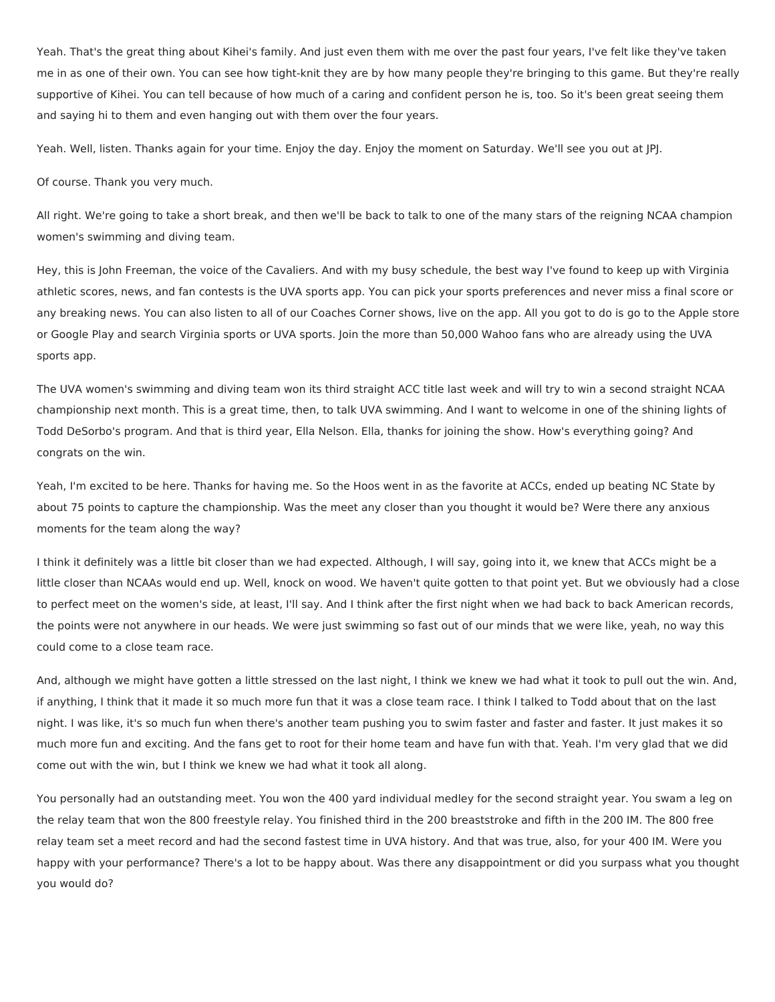Yeah. That's the great thing about Kihei's family. And just even them with me over the past four years, I've felt like they've taken me in as one of their own. You can see how tight-knit they are by how many people they're bringing to this game. But they're really supportive of Kihei. You can tell because of how much of a caring and confident person he is, too. So it's been great seeing them and saying hi to them and even hanging out with them over the four years.

Yeah. Well, listen. Thanks again for your time. Enjoy the day. Enjoy the moment on Saturday. We'll see you out at JPJ.

Of course. Thank you very much.

All right. We're going to take a short break, and then we'll be back to talk to one of the many stars of the reigning NCAA champion women's swimming and diving team.

Hey, this is John Freeman, the voice of the Cavaliers. And with my busy schedule, the best way I've found to keep up with Virginia athletic scores, news, and fan contests is the UVA sports app. You can pick your sports preferences and never miss a final score or any breaking news. You can also listen to all of our Coaches Corner shows, live on the app. All you got to do is go to the Apple store or Google Play and search Virginia sports or UVA sports. Join the more than 50,000 Wahoo fans who are already using the UVA sports app.

The UVA women's swimming and diving team won its third straight ACC title last week and will try to win a second straight NCAA championship next month. This is a great time, then, to talk UVA swimming. And I want to welcome in one of the shining lights of Todd DeSorbo's program. And that is third year, Ella Nelson. Ella, thanks for joining the show. How's everything going? And congrats on the win.

Yeah, I'm excited to be here. Thanks for having me. So the Hoos went in as the favorite at ACCs, ended up beating NC State by about 75 points to capture the championship. Was the meet any closer than you thought it would be? Were there any anxious moments for the team along the way?

I think it definitely was a little bit closer than we had expected. Although, I will say, going into it, we knew that ACCs might be a little closer than NCAAs would end up. Well, knock on wood. We haven't quite gotten to that point yet. But we obviously had a close to perfect meet on the women's side, at least, I'll say. And I think after the first night when we had back to back American records, the points were not anywhere in our heads. We were just swimming so fast out of our minds that we were like, yeah, no way this could come to a close team race.

And, although we might have gotten a little stressed on the last night, I think we knew we had what it took to pull out the win. And, if anything, I think that it made it so much more fun that it was a close team race. I think I talked to Todd about that on the last night. I was like, it's so much fun when there's another team pushing you to swim faster and faster and faster. It just makes it so much more fun and exciting. And the fans get to root for their home team and have fun with that. Yeah. I'm very glad that we did come out with the win, but I think we knew we had what it took all along.

You personally had an outstanding meet. You won the 400 yard individual medley for the second straight year. You swam a leg on the relay team that won the 800 freestyle relay. You finished third in the 200 breaststroke and fifth in the 200 IM. The 800 free relay team set a meet record and had the second fastest time in UVA history. And that was true, also, for your 400 IM. Were you happy with your performance? There's a lot to be happy about. Was there any disappointment or did you surpass what you thought you would do?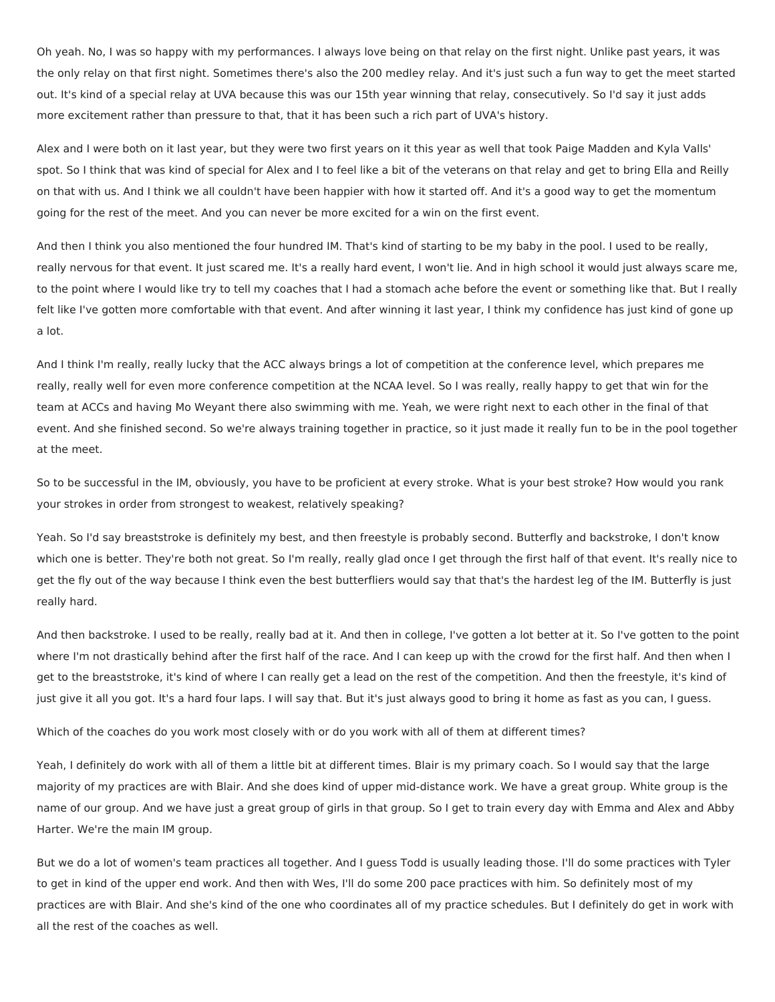Oh yeah. No, I was so happy with my performances. I always love being on that relay on the first night. Unlike past years, it was the only relay on that first night. Sometimes there's also the 200 medley relay. And it's just such a fun way to get the meet started out. It's kind of a special relay at UVA because this was our 15th year winning that relay, consecutively. So I'd say it just adds more excitement rather than pressure to that, that it has been such a rich part of UVA's history.

Alex and I were both on it last year, but they were two first years on it this year as well that took Paige Madden and Kyla Valls' spot. So I think that was kind of special for Alex and I to feel like a bit of the veterans on that relay and get to bring Ella and Reilly on that with us. And I think we all couldn't have been happier with how it started off. And it's a good way to get the momentum going for the rest of the meet. And you can never be more excited for a win on the first event.

And then I think you also mentioned the four hundred IM. That's kind of starting to be my baby in the pool. I used to be really, really nervous for that event. It just scared me. It's a really hard event, I won't lie. And in high school it would just always scare me, to the point where I would like try to tell my coaches that I had a stomach ache before the event or something like that. But I really felt like I've gotten more comfortable with that event. And after winning it last year, I think my confidence has just kind of gone up a lot.

And I think I'm really, really lucky that the ACC always brings a lot of competition at the conference level, which prepares me really, really well for even more conference competition at the NCAA level. So I was really, really happy to get that win for the team at ACCs and having Mo Weyant there also swimming with me. Yeah, we were right next to each other in the final of that event. And she finished second. So we're always training together in practice, so it just made it really fun to be in the pool together at the meet.

So to be successful in the IM, obviously, you have to be proficient at every stroke. What is your best stroke? How would you rank your strokes in order from strongest to weakest, relatively speaking?

Yeah. So I'd say breaststroke is definitely my best, and then freestyle is probably second. Butterfly and backstroke, I don't know which one is better. They're both not great. So I'm really, really glad once I get through the first half of that event. It's really nice to get the fly out of the way because I think even the best butterfliers would say that that's the hardest leg of the IM. Butterfly is just really hard.

And then backstroke. I used to be really, really bad at it. And then in college, I've gotten a lot better at it. So I've gotten to the point where I'm not drastically behind after the first half of the race. And I can keep up with the crowd for the first half. And then when I get to the breaststroke, it's kind of where I can really get a lead on the rest of the competition. And then the freestyle, it's kind of just give it all you got. It's a hard four laps. I will say that. But it's just always good to bring it home as fast as you can, I guess.

Which of the coaches do you work most closely with or do you work with all of them at different times?

Yeah, I definitely do work with all of them a little bit at different times. Blair is my primary coach. So I would say that the large majority of my practices are with Blair. And she does kind of upper mid-distance work. We have a great group. White group is the name of our group. And we have just a great group of girls in that group. So I get to train every day with Emma and Alex and Abby Harter. We're the main IM group.

But we do a lot of women's team practices all together. And I guess Todd is usually leading those. I'll do some practices with Tyler to get in kind of the upper end work. And then with Wes, I'll do some 200 pace practices with him. So definitely most of my practices are with Blair. And she's kind of the one who coordinates all of my practice schedules. But I definitely do get in work with all the rest of the coaches as well.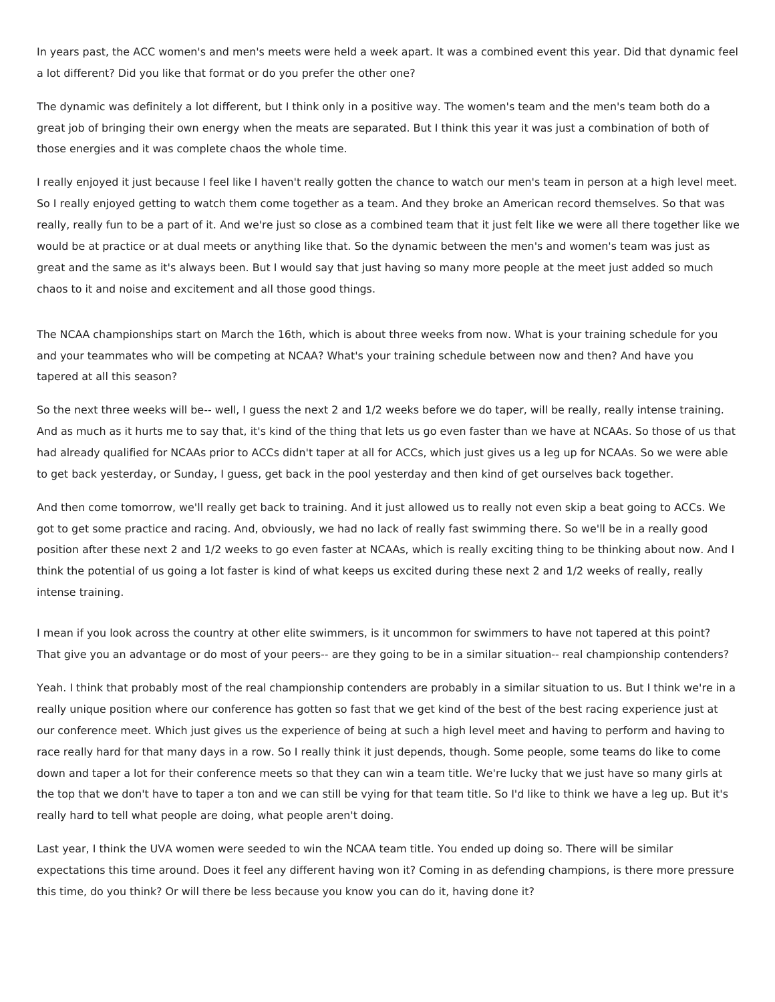In years past, the ACC women's and men's meets were held a week apart. It was a combined event this year. Did that dynamic feel a lot different? Did you like that format or do you prefer the other one?

The dynamic was definitely a lot different, but I think only in a positive way. The women's team and the men's team both do a great job of bringing their own energy when the meats are separated. But I think this year it was just a combination of both of those energies and it was complete chaos the whole time.

I really enjoyed it just because I feel like I haven't really gotten the chance to watch our men's team in person at a high level meet. So I really enjoyed getting to watch them come together as a team. And they broke an American record themselves. So that was really, really fun to be a part of it. And we're just so close as a combined team that it just felt like we were all there together like we would be at practice or at dual meets or anything like that. So the dynamic between the men's and women's team was just as great and the same as it's always been. But I would say that just having so many more people at the meet just added so much chaos to it and noise and excitement and all those good things.

The NCAA championships start on March the 16th, which is about three weeks from now. What is your training schedule for you and your teammates who will be competing at NCAA? What's your training schedule between now and then? And have you tapered at all this season?

So the next three weeks will be-- well, I guess the next 2 and 1/2 weeks before we do taper, will be really, really intense training. And as much as it hurts me to say that, it's kind of the thing that lets us go even faster than we have at NCAAs. So those of us that had already qualified for NCAAs prior to ACCs didn't taper at all for ACCs, which just gives us a leg up for NCAAs. So we were able to get back yesterday, or Sunday, I guess, get back in the pool yesterday and then kind of get ourselves back together.

And then come tomorrow, we'll really get back to training. And it just allowed us to really not even skip a beat going to ACCs. We got to get some practice and racing. And, obviously, we had no lack of really fast swimming there. So we'll be in a really good position after these next 2 and 1/2 weeks to go even faster at NCAAs, which is really exciting thing to be thinking about now. And I think the potential of us going a lot faster is kind of what keeps us excited during these next 2 and 1/2 weeks of really, really intense training.

I mean if you look across the country at other elite swimmers, is it uncommon for swimmers to have not tapered at this point? That give you an advantage or do most of your peers-- are they going to be in a similar situation-- real championship contenders?

Yeah. I think that probably most of the real championship contenders are probably in a similar situation to us. But I think we're in a really unique position where our conference has gotten so fast that we get kind of the best of the best racing experience just at our conference meet. Which just gives us the experience of being at such a high level meet and having to perform and having to race really hard for that many days in a row. So I really think it just depends, though. Some people, some teams do like to come down and taper a lot for their conference meets so that they can win a team title. We're lucky that we just have so many girls at the top that we don't have to taper a ton and we can still be vying for that team title. So I'd like to think we have a leg up. But it's really hard to tell what people are doing, what people aren't doing.

Last year, I think the UVA women were seeded to win the NCAA team title. You ended up doing so. There will be similar expectations this time around. Does it feel any different having won it? Coming in as defending champions, is there more pressure this time, do you think? Or will there be less because you know you can do it, having done it?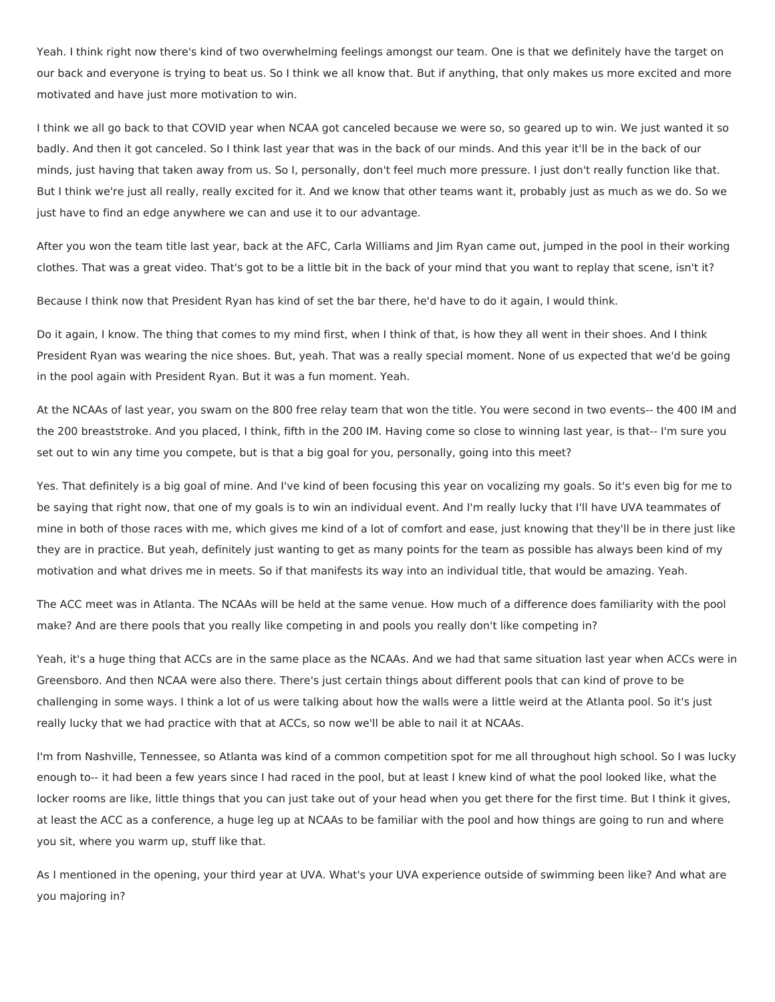Yeah. I think right now there's kind of two overwhelming feelings amongst our team. One is that we definitely have the target on our back and everyone is trying to beat us. So I think we all know that. But if anything, that only makes us more excited and more motivated and have just more motivation to win.

I think we all go back to that COVID year when NCAA got canceled because we were so, so geared up to win. We just wanted it so badly. And then it got canceled. So I think last year that was in the back of our minds. And this year it'll be in the back of our minds, just having that taken away from us. So I, personally, don't feel much more pressure. I just don't really function like that. But I think we're just all really, really excited for it. And we know that other teams want it, probably just as much as we do. So we just have to find an edge anywhere we can and use it to our advantage.

After you won the team title last year, back at the AFC, Carla Williams and Jim Ryan came out, jumped in the pool in their working clothes. That was a great video. That's got to be a little bit in the back of your mind that you want to replay that scene, isn't it?

Because I think now that President Ryan has kind of set the bar there, he'd have to do it again, I would think.

Do it again, I know. The thing that comes to my mind first, when I think of that, is how they all went in their shoes. And I think President Ryan was wearing the nice shoes. But, yeah. That was a really special moment. None of us expected that we'd be going in the pool again with President Ryan. But it was a fun moment. Yeah.

At the NCAAs of last year, you swam on the 800 free relay team that won the title. You were second in two events-- the 400 IM and the 200 breaststroke. And you placed, I think, fifth in the 200 IM. Having come so close to winning last year, is that-- I'm sure you set out to win any time you compete, but is that a big goal for you, personally, going into this meet?

Yes. That definitely is a big goal of mine. And I've kind of been focusing this year on vocalizing my goals. So it's even big for me to be saying that right now, that one of my goals is to win an individual event. And I'm really lucky that I'll have UVA teammates of mine in both of those races with me, which gives me kind of a lot of comfort and ease, just knowing that they'll be in there just like they are in practice. But yeah, definitely just wanting to get as many points for the team as possible has always been kind of my motivation and what drives me in meets. So if that manifests its way into an individual title, that would be amazing. Yeah.

The ACC meet was in Atlanta. The NCAAs will be held at the same venue. How much of a difference does familiarity with the pool make? And are there pools that you really like competing in and pools you really don't like competing in?

Yeah, it's a huge thing that ACCs are in the same place as the NCAAs. And we had that same situation last year when ACCs were in Greensboro. And then NCAA were also there. There's just certain things about different pools that can kind of prove to be challenging in some ways. I think a lot of us were talking about how the walls were a little weird at the Atlanta pool. So it's just really lucky that we had practice with that at ACCs, so now we'll be able to nail it at NCAAs.

I'm from Nashville, Tennessee, so Atlanta was kind of a common competition spot for me all throughout high school. So I was lucky enough to-- it had been a few years since I had raced in the pool, but at least I knew kind of what the pool looked like, what the locker rooms are like, little things that you can just take out of your head when you get there for the first time. But I think it gives, at least the ACC as a conference, a huge leg up at NCAAs to be familiar with the pool and how things are going to run and where you sit, where you warm up, stuff like that.

As I mentioned in the opening, your third year at UVA. What's your UVA experience outside of swimming been like? And what are you majoring in?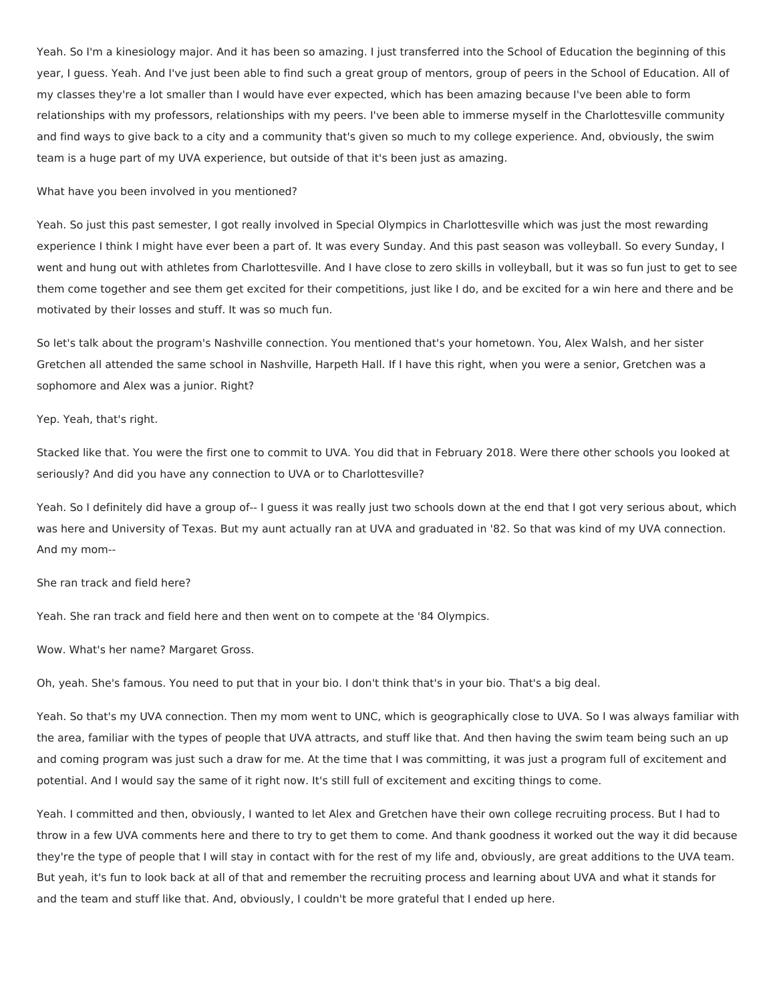Yeah. So I'm a kinesiology major. And it has been so amazing. I just transferred into the School of Education the beginning of this year, I guess. Yeah. And I've just been able to find such a great group of mentors, group of peers in the School of Education. All of my classes they're a lot smaller than I would have ever expected, which has been amazing because I've been able to form relationships with my professors, relationships with my peers. I've been able to immerse myself in the Charlottesville community and find ways to give back to a city and a community that's given so much to my college experience. And, obviously, the swim team is a huge part of my UVA experience, but outside of that it's been just as amazing.

### What have you been involved in you mentioned?

Yeah. So just this past semester, I got really involved in Special Olympics in Charlottesville which was just the most rewarding experience I think I might have ever been a part of. It was every Sunday. And this past season was volleyball. So every Sunday, I went and hung out with athletes from Charlottesville. And I have close to zero skills in volleyball, but it was so fun just to get to see them come together and see them get excited for their competitions, just like I do, and be excited for a win here and there and be motivated by their losses and stuff. It was so much fun.

So let's talk about the program's Nashville connection. You mentioned that's your hometown. You, Alex Walsh, and her sister Gretchen all attended the same school in Nashville, Harpeth Hall. If I have this right, when you were a senior, Gretchen was a sophomore and Alex was a junior. Right?

Yep. Yeah, that's right.

Stacked like that. You were the first one to commit to UVA. You did that in February 2018. Were there other schools you looked at seriously? And did you have any connection to UVA or to Charlottesville?

Yeah. So I definitely did have a group of-- I guess it was really just two schools down at the end that I got very serious about, which was here and University of Texas. But my aunt actually ran at UVA and graduated in '82. So that was kind of my UVA connection. And my mom--

She ran track and field here?

Yeah. She ran track and field here and then went on to compete at the '84 Olympics.

Wow. What's her name? Margaret Gross.

Oh, yeah. She's famous. You need to put that in your bio. I don't think that's in your bio. That's a big deal.

Yeah. So that's my UVA connection. Then my mom went to UNC, which is geographically close to UVA. So I was always familiar with the area, familiar with the types of people that UVA attracts, and stuff like that. And then having the swim team being such an up and coming program was just such a draw for me. At the time that I was committing, it was just a program full of excitement and potential. And I would say the same of it right now. It's still full of excitement and exciting things to come.

Yeah. I committed and then, obviously, I wanted to let Alex and Gretchen have their own college recruiting process. But I had to throw in a few UVA comments here and there to try to get them to come. And thank goodness it worked out the way it did because they're the type of people that I will stay in contact with for the rest of my life and, obviously, are great additions to the UVA team. But yeah, it's fun to look back at all of that and remember the recruiting process and learning about UVA and what it stands for and the team and stuff like that. And, obviously, I couldn't be more grateful that I ended up here.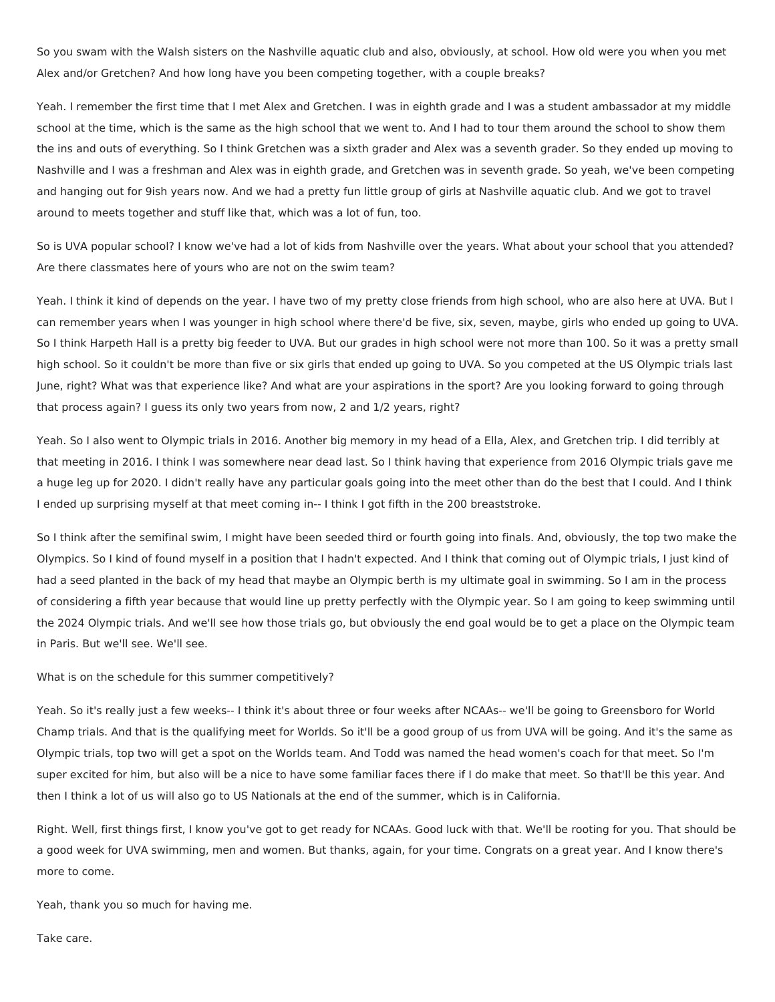So you swam with the Walsh sisters on the Nashville aquatic club and also, obviously, at school. How old were you when you met Alex and/or Gretchen? And how long have you been competing together, with a couple breaks?

Yeah. I remember the first time that I met Alex and Gretchen. I was in eighth grade and I was a student ambassador at my middle school at the time, which is the same as the high school that we went to. And I had to tour them around the school to show them the ins and outs of everything. So I think Gretchen was a sixth grader and Alex was a seventh grader. So they ended up moving to Nashville and I was a freshman and Alex was in eighth grade, and Gretchen was in seventh grade. So yeah, we've been competing and hanging out for 9ish years now. And we had a pretty fun little group of girls at Nashville aquatic club. And we got to travel around to meets together and stuff like that, which was a lot of fun, too.

So is UVA popular school? I know we've had a lot of kids from Nashville over the years. What about your school that you attended? Are there classmates here of yours who are not on the swim team?

Yeah. I think it kind of depends on the year. I have two of my pretty close friends from high school, who are also here at UVA. But I can remember years when I was younger in high school where there'd be five, six, seven, maybe, girls who ended up going to UVA. So I think Harpeth Hall is a pretty big feeder to UVA. But our grades in high school were not more than 100. So it was a pretty small high school. So it couldn't be more than five or six girls that ended up going to UVA. So you competed at the US Olympic trials last June, right? What was that experience like? And what are your aspirations in the sport? Are you looking forward to going through that process again? I guess its only two years from now, 2 and 1/2 years, right?

Yeah. So I also went to Olympic trials in 2016. Another big memory in my head of a Ella, Alex, and Gretchen trip. I did terribly at that meeting in 2016. I think I was somewhere near dead last. So I think having that experience from 2016 Olympic trials gave me a huge leg up for 2020. I didn't really have any particular goals going into the meet other than do the best that I could. And I think I ended up surprising myself at that meet coming in-- I think I got fifth in the 200 breaststroke.

So I think after the semifinal swim, I might have been seeded third or fourth going into finals. And, obviously, the top two make the Olympics. So I kind of found myself in a position that I hadn't expected. And I think that coming out of Olympic trials, I just kind of had a seed planted in the back of my head that maybe an Olympic berth is my ultimate goal in swimming. So I am in the process of considering a fifth year because that would line up pretty perfectly with the Olympic year. So I am going to keep swimming until the 2024 Olympic trials. And we'll see how those trials go, but obviously the end goal would be to get a place on the Olympic team in Paris. But we'll see. We'll see.

What is on the schedule for this summer competitively?

Yeah. So it's really just a few weeks-- I think it's about three or four weeks after NCAAs-- we'll be going to Greensboro for World Champ trials. And that is the qualifying meet for Worlds. So it'll be a good group of us from UVA will be going. And it's the same as Olympic trials, top two will get a spot on the Worlds team. And Todd was named the head women's coach for that meet. So I'm super excited for him, but also will be a nice to have some familiar faces there if I do make that meet. So that'll be this year. And then I think a lot of us will also go to US Nationals at the end of the summer, which is in California.

Right. Well, first things first, I know you've got to get ready for NCAAs. Good luck with that. We'll be rooting for you. That should be a good week for UVA swimming, men and women. But thanks, again, for your time. Congrats on a great year. And I know there's more to come.

Yeah, thank you so much for having me.

Take care.